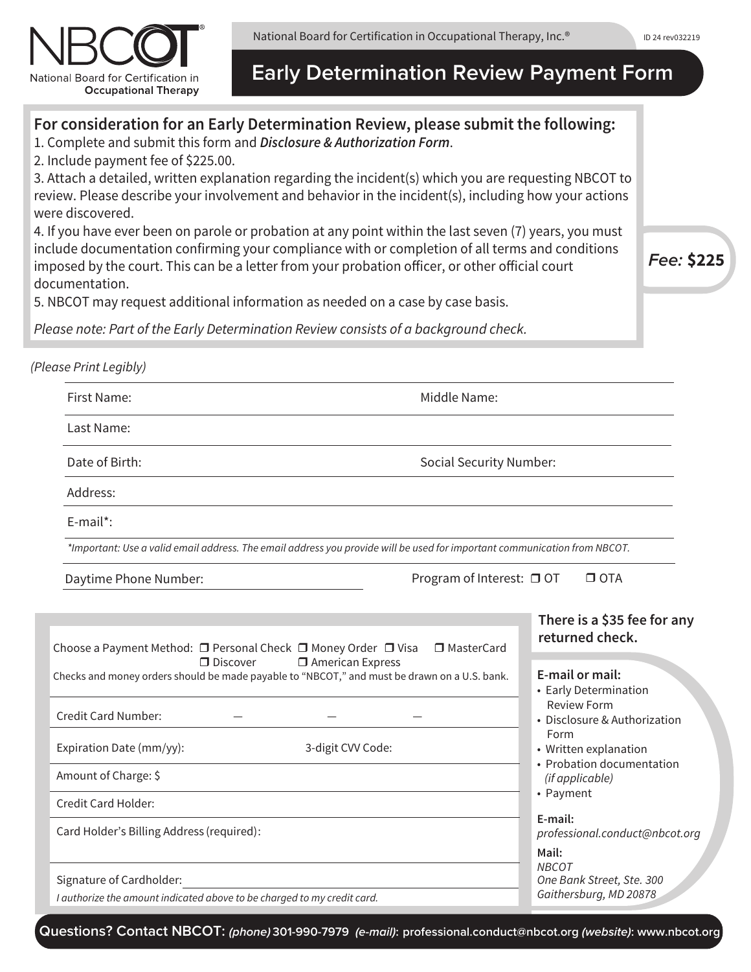National Board for Certification in Occupational Therapy, Inc.®



**Early Determination Review Payment Form**

# F Program of Interest: □ OT  $\Box$  OTA First Name: Middle Name: Last Name: Address: E-mail\*: *\*Important: Use a valid email address. The email address you provide will be used for important communication from NBCOT.* Daytime Phone Number: *(Please Print Legibly)*  **For consideration for an Early Determination Review, please submit the following:** 1. Complete and submit this form and *Disclosure & Authorization Form*. 2. Include payment fee of \$225.00. 3. Attach a detailed, written explanation regarding the incident(s) which you are requesting NBCOT to review. Please describe your involvement and behavior in the incident(s), including how your actions were discovered. 4. If you have ever been on parole or probation at any point within the last seven (7) years, you must include documentation confirming your compliance with or completion of all terms and conditions imposed by the court. This can be a letter from your probation officer, or other official court documentation. 5. NBCOT may request additional information as needed on a case by case basis. *Please note: Part of the Early Determination Review consists of a background check. Fee:* **\$225 There is a \$35 fee for any returned check.** Date of Birth: Social Security Number:

| Choose a Payment Method: □ Personal Check □ Money Order □ Visa<br>□ MasterCard                                                               | TELUITIEU CHECK.                                                                                                                    |
|----------------------------------------------------------------------------------------------------------------------------------------------|-------------------------------------------------------------------------------------------------------------------------------------|
| <b>I</b> American Express<br>$\Box$ Discover<br>Checks and money orders should be made payable to "NBCOT," and must be drawn on a U.S. bank. | E-mail or mail:<br>• Early Determination                                                                                            |
| <b>Credit Card Number:</b>                                                                                                                   | <b>Review Form</b><br>• Disclosure & Authorization<br>Form<br>• Written explanation<br>• Probation documentation<br>(if applicable) |
| Expiration Date (mm/yy):<br>3-digit CVV Code:                                                                                                |                                                                                                                                     |
| Amount of Charge: \$                                                                                                                         |                                                                                                                                     |
| Credit Card Holder:                                                                                                                          | • Payment                                                                                                                           |
| Card Holder's Billing Address (required):                                                                                                    | E-mail:<br>professional.conduct@nbcot.org                                                                                           |
|                                                                                                                                              | Mail:                                                                                                                               |
| Signature of Cardholder:                                                                                                                     | NBCOT<br>One Bank Street, Ste. 300                                                                                                  |
| I authorize the amount indicated above to be charged to my credit card.                                                                      | Gaithersburg, MD 20878                                                                                                              |

**Questions? Contact NBCOT:** *(phone)* **301-990-7979** *(e-mail)***: professional.conduct@nbcot.org** *(website)***: www.nbcot.org**

ID 24 rev032219